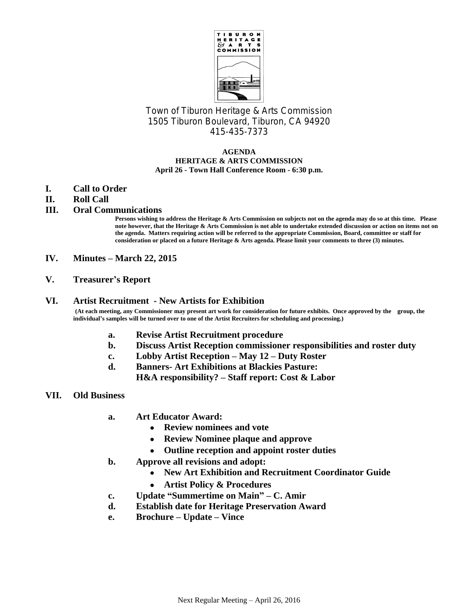

Town of Tiburon Heritage & Arts Commission 1505 Tiburon Boulevard, Tiburon, CA 94920 415-435-7373

#### **AGENDA HERITAGE & ARTS COMMISSION April 26 - Town Hall Conference Room - 6:30 p.m.**

- **I. Call to Order**
- **II. Roll Call**
- **III. Oral Communications**

**Persons wishing to address the Heritage & Arts Commission on subjects not on the agenda may do so at this time. Please note however, that the Heritage & Arts Commission is not able to undertake extended discussion or action on items not on the agenda. Matters requiring action will be referred to the appropriate Commission, Board, committee or staff for consideration or placed on a future Heritage & Arts agenda. Please limit your comments to three (3) minutes.**

- **IV. Minutes – March 22, 2015**
- **V. Treasurer's Report**

### **VI. Artist Recruitment - New Artists for Exhibition**

**(At each meeting, any Commissioner may present art work for consideration for future exhibits. Once approved by the group, the individual's samples will be turned over to one of the Artist Recruiters for scheduling and processing.)**

- **a. Revise Artist Recruitment procedure**
- **b. Discuss Artist Reception commissioner responsibilities and roster duty**
- **c. Lobby Artist Reception – May 12 – Duty Roster**
- **d. Banners- Art Exhibitions at Blackies Pasture:**

**H&A responsibility? – Staff report: Cost & Labor**

- **VII. Old Business**
	- **a. Art Educator Award:**
		- **Review nominees and vote**
		- **Review Nominee plaque and approve**
		- **Outline reception and appoint roster duties**
	- **b. Approve all revisions and adopt:**
		- **New Art Exhibition and Recruitment Coordinator Guide**
		- **Artist Policy & Procedures**
	- **c. Update "Summertime on Main" – C. Amir**
	- **d. Establish date for Heritage Preservation Award**
	- **e. Brochure – Update – Vince**